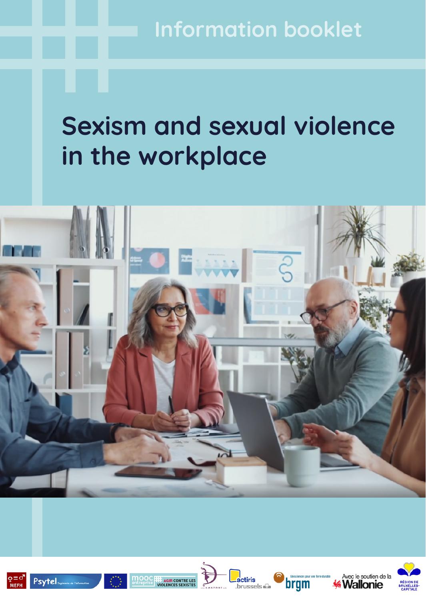**Information booklet**

## **Sexism and sexual violence in the workplace**













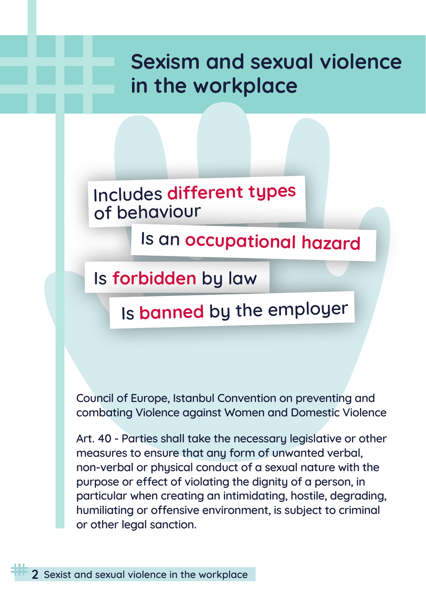## **Sexism and sexual violence in the workplace**

**Includes different types of behaviour**

**Is an occupational hazard**

**Is forbidden by law**

## **Is banned by the employer**

**Council of Europe, Istanbul Convention on preventing and combating Violence against Women and Domestic Violence** 

**Art. 40 - Parties shall take the necessary legislative or other measures to ensure that any form of unwanted verbal, non‐verbal or physical conduct of a sexual nature with the purpose or effect of violating the dignity of a person, in particular when creating an intimidating, hostile, degrading, humiliating or offensive environment, is subject to criminal or other legal sanction.**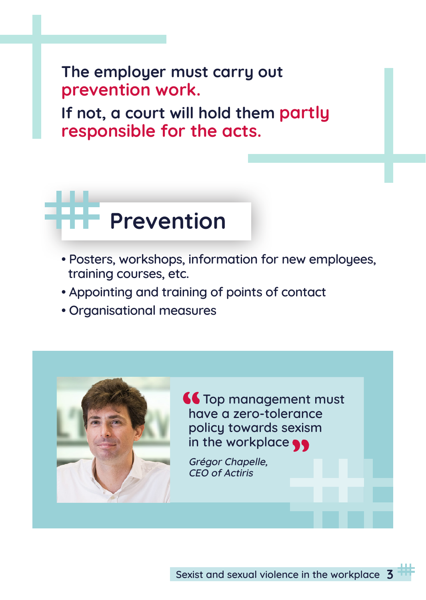**The employer must carry out prevention work.**

**If not, a court will hold them partly responsible for the acts.**

# **Prevention**

- **Posters, workshops, information for new employees, training courses, etc.**
- **Appointing and training of points of contact**
- **Organisational measures**

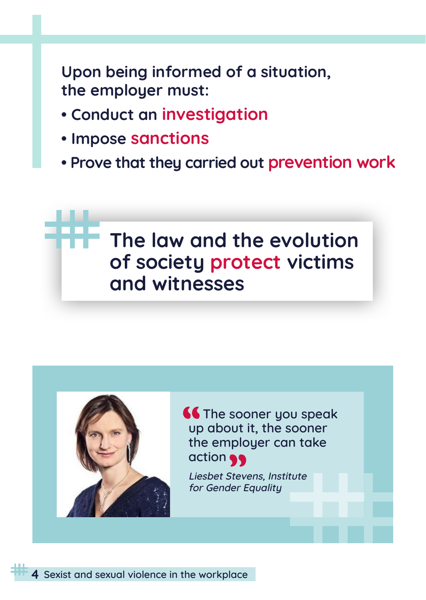**Upon being informed of a situation, the employer must:**

- **Conduct an investigation**
- **Impose sanctions**
- **Prove that they carried out prevention work**

## **The law and the evolution of society protect victims and witnesses**



**66 The sooner you speak up about it, the sooner the employer can take action**

**Liesbet Stevens, Institute for Gender Equality**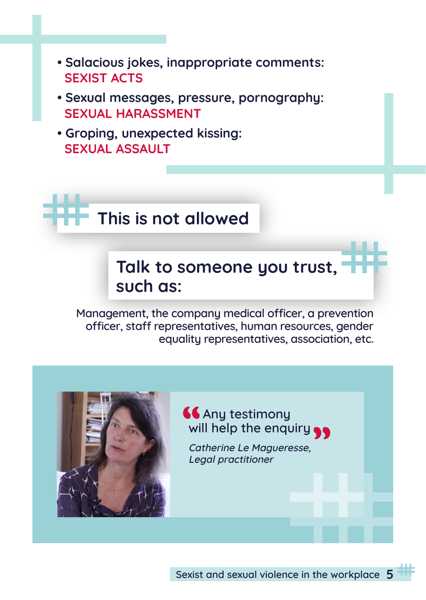- **Salacious jokes, inappropriate comments: SEXIST ACTS**
- **Sexual messages, pressure, pornography: SEXUAL HARASSMENT**
- **Groping, unexpected kissing: SEXUAL ASSAULT**

**This is not allowed**

**Talk to someone you trust, such as:**

**Management, the company medical officer, a prevention officer, staff representatives, human resources, gender equality representatives, association, etc.**



*<u>Any testimony</u>* **will help the enquiry**

**Catherine Le Magueresse, Legal practitioner**

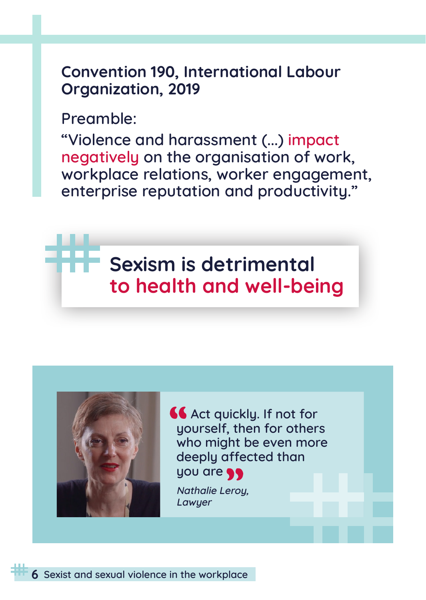#### **Convention 190, International Labour Organization, 2019**

**Preamble:**

**"Violence and harassment (...) impact negatively on the organisation of work, workplace relations, worker engagement, enterprise reputation and productivity."** 

## **Sexism is detrimental to health and well-being**



**66** Act quickly. If not for **yourself, then for others who might be even more deeply affected than you are**

**Nathalie Leroy, Lawyer**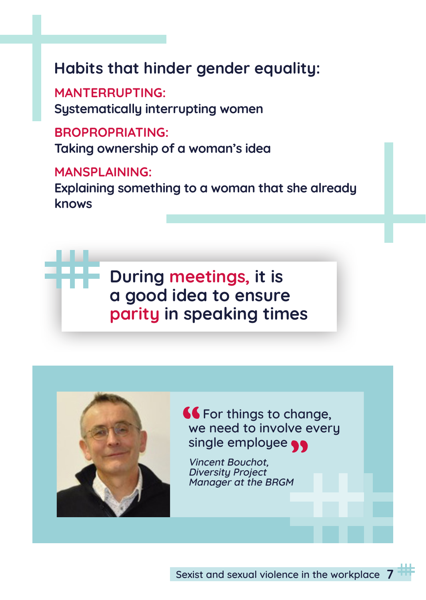## **Habits that hinder gender equality:**

**MANTERRUPTING: Systematically interrupting women**

**BROPROPRIATING: Taking ownership of a woman's idea**

**MANSPLAINING: Explaining something to a woman that she already knows**

> **During meetings, it is a good idea to ensure parity in speaking times**